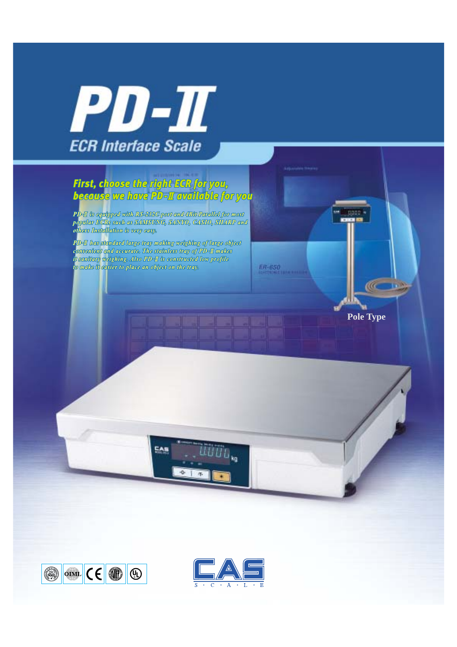

# First, choose the right ECR for you,<br>because we have PD-II available for you

PD-II is equipped with RS-232C port and 4Bit Parallel for most<br>popular ECRs such as SAWISUNG, SANYO, CASIO, SHARP and<br>others Installation is very easp.

PD-II has standard large tray making weighing of large object conventent and accurate. The stainless tray of PD-II makes it sanitary weighing. Also PD-I is constructed low profile to make it easier to place an object on the tray.

EAS

 $\frac{1}{2}$  (E  $\frac{1}{2}$  $\circled{s_{00}}$  $\circledR$ 



iüüo.,

**Pole Type**

 $\frac{1}{2}$ 

titles

ER-650